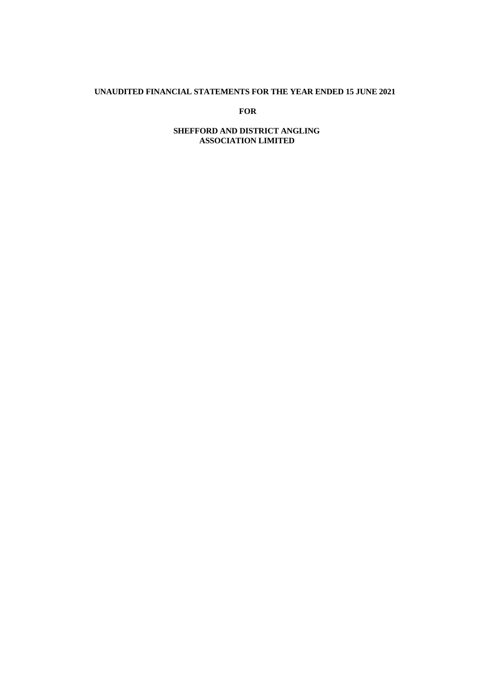#### **UNAUDITED FINANCIAL STATEMENTS FOR THE YEAR ENDED 15 JUNE 2021**

**FOR**

# **SHEFFORD AND DISTRICT ANGLING ASSOCIATION LIMITED**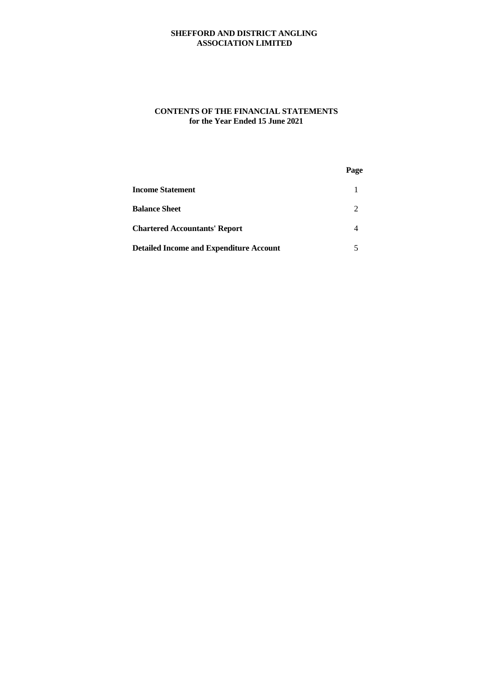# **SHEFFORD AND DISTRICT ANGLING ASSOCIATION LIMITED**

# **CONTENTS OF THE FINANCIAL STATEMENTS for the Year Ended 15 June 2021**

|                                                | Page |  |
|------------------------------------------------|------|--|
| <b>Income Statement</b>                        |      |  |
| <b>Balance Sheet</b>                           | 2    |  |
| <b>Chartered Accountants' Report</b>           | 4    |  |
| <b>Detailed Income and Expenditure Account</b> |      |  |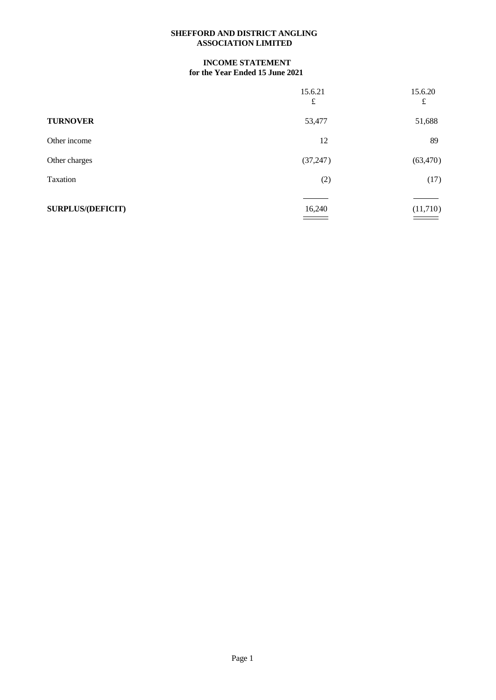### **SHEFFORD AND DISTRICT ANGLING ASSOCIATION LIMITED**

# **INCOME STATEMENT for the Year Ended 15 June 2021**

|                          | 15.6.21<br>£ | 15.6.20<br>$\pounds$ |
|--------------------------|--------------|----------------------|
| <b>TURNOVER</b>          | 53,477       | 51,688               |
| Other income             | 12           | 89                   |
| Other charges            | (37, 247)    | (63, 470)            |
| Taxation                 | (2)          | (17)                 |
| <b>SURPLUS/(DEFICIT)</b> | 16,240       | (11,710)             |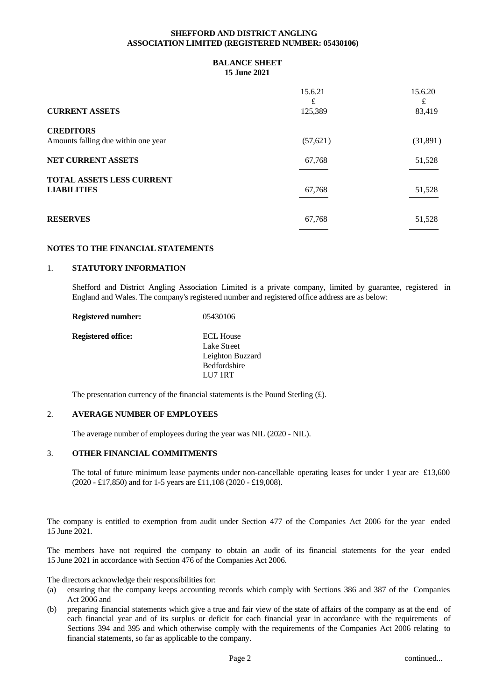#### **SHEFFORD AND DISTRICT ANGLING ASSOCIATION LIMITED (REGISTERED NUMBER: 05430106)**

### **BALANCE SHEET 15 June 2021**

|                                                         | 15.6.21<br>£ | 15.6.20<br>£ |
|---------------------------------------------------------|--------------|--------------|
| <b>CURRENT ASSETS</b>                                   | 125,389      | 83,419       |
| <b>CREDITORS</b><br>Amounts falling due within one year | (57, 621)    | (31,891)     |
| <b>NET CURRENT ASSETS</b>                               | 67,768       | 51,528       |
| <b>TOTAL ASSETS LESS CURRENT</b><br><b>LIABILITIES</b>  | 67,768       | 51,528       |
| <b>RESERVES</b>                                         | 67,768       | 51,528       |

### **NOTES TO THE FINANCIAL STATEMENTS**

#### 1. **STATUTORY INFORMATION**

Shefford and District Angling Association Limited is a private company, limited by guarantee, registered in England and Wales. The company's registered number and registered office address are as below:

| <b>Registered number:</b> | 05430106         |  |
|---------------------------|------------------|--|
| Registered office:        | <b>ECL House</b> |  |
|                           | Lake Street      |  |
|                           | Leighton Buzzard |  |
|                           | Bedfordshire     |  |
|                           | LU7 1RT          |  |
|                           |                  |  |

The presentation currency of the financial statements is the Pound Sterling  $(f)$ .

#### 2. **AVERAGE NUMBER OF EMPLOYEES**

The average number of employees during the year was NIL (2020 - NIL).

# 3. **OTHER FINANCIAL COMMITMENTS**

The total of future minimum lease payments under non-cancellable operating leases for under 1 year are £13,600 (2020 - £17,850) and for 1-5 years are £11,108 (2020 - £19,008).

The company is entitled to exemption from audit under Section 477 of the Companies Act 2006 for the year ended 15 June 2021.

The members have not required the company to obtain an audit of its financial statements for the year ended 15 June 2021 in accordance with Section 476 of the Companies Act 2006.

The directors acknowledge their responsibilities for:

- (a) ensuring that the company keeps accounting records which comply with Sections 386 and 387 of the Companies Act 2006 and
- (b) preparing financial statements which give a true and fair view of the state of affairs ofthe company as at the end of each financial year and of its surplus or deficit for each financial year in accordance with the requirements of Sections 394 and 395 and which otherwise comply with the requirements of the Companies Act 2006 relating to financial statements, so far as applicable to the company.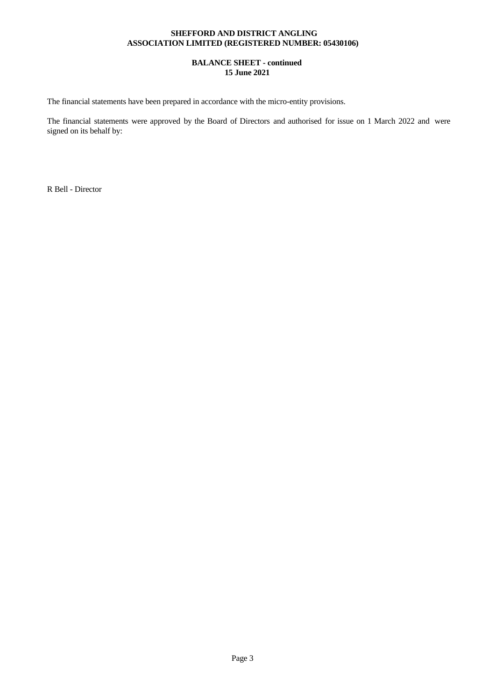### **SHEFFORD AND DISTRICT ANGLING ASSOCIATION LIMITED (REGISTERED NUMBER: 05430106)**

### **BALANCE SHEET - continued 15 June 2021**

The financial statements have been prepared in accordance with the micro-entity provisions.

The financial statements were approved by the Board of Directors and authorised for issue on 1 March 2022 and were signed on its behalf by:

R Bell - Director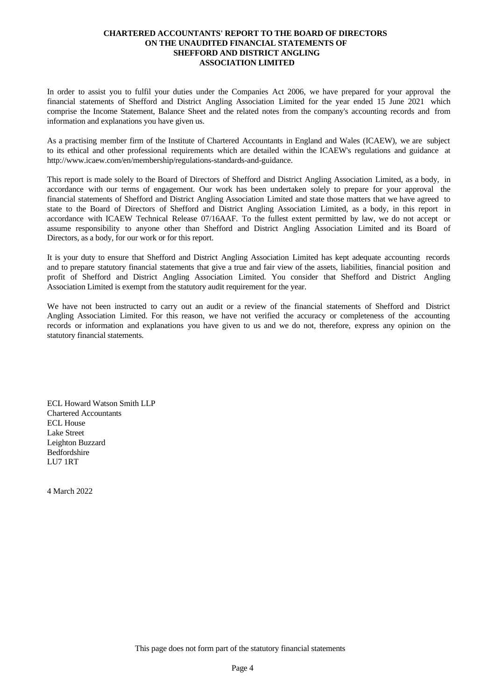### **CHARTERED ACCOUNTANTS' REPORT TO THE BOARD OF DIRECTORS ON THE UNAUDITED FINANCIAL STATEMENTS OF SHEFFORD AND DISTRICT ANGLING ASSOCIATION LIMITED**

In order to assist you to fulfil your duties under the Companies Act 2006, we have prepared for your approval the financial statements of Shefford and District Angling Association Limited for the year ended 15 June 2021 which comprise the Income Statement, Balance Sheet and the related notes from the company's accounting records and from information and explanations you have given us.

As a practising member firm of the Institute of Chartered Accountants in England and Wales (ICAEW), we are subject to its ethicaland other professional requirements which are detailed within the ICAEW's regulations and guidance at http://www.icaew.com/en/membership/regulations-standards-and-guidance.

This report is made solely to the Board of Directors of Shefford and District Angling Association Limited, as a body, in accordance with our terms of engagement. Our work has been undertaken solely to prepare for your approval the financial statements of Shefford and District Angling Association Limited and state those matters that we have agreed to state to the Board of Directors of Shefford and District Angling Association Limited, as a body, in this report in accordance with ICAEW Technical Release 07/16AAF. To the fullest extent permitted by law, we do not accept or assume responsibility to anyone other than Shefford and District Angling Association Limited and its Board of Directors, as a body, for our work or for this report.

It is your duty to ensure that Shefford and District Angling Association Limited has keptadequate accounting records and to prepare statutory financial statements that give a true and fair view of the assets, liabilities, financial position and profit of Shefford and District Angling Association Limited. You consider that Shefford and District Angling Association Limited is exempt from the statutory audit requirement for the year.

We have not been instructed to carry out an audit or a review of the financial statements of Shefford and District Angling Association Limited. For this reason, we have not verified the accuracy or completeness of the accounting records or information and explanations you have given to us and we do not, therefore, express any opinion on the statutory financial statements.

ECL Howard Watson Smith LLP Chartered Accountants ECL House Lake Street Leighton Buzzard Bedfordshire LU7 1RT

4 March 2022